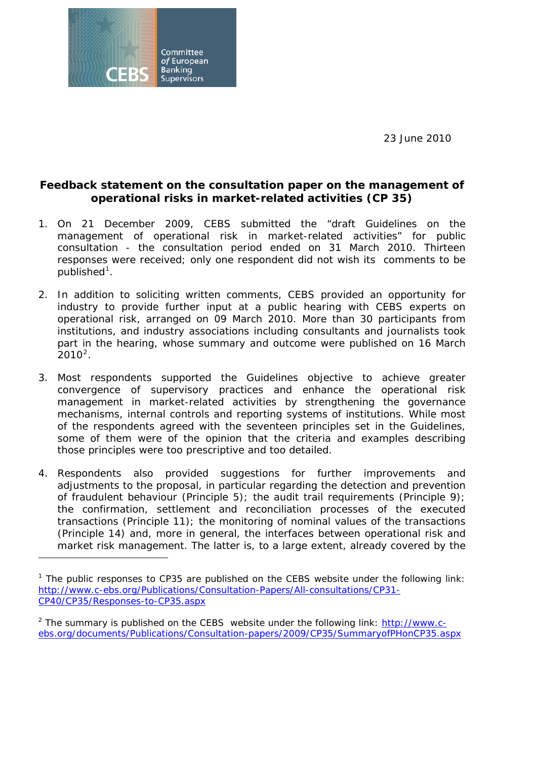23 June 2010



## **Feedback statement on the consultation paper on the management of operational risks in market-related activities (CP 35)**

- 1. On 21 December 2009, CEBS submitted the "draft Guidelines on the management of operational risk in market-related activities" for public consultation - the consultation period ended on 31 March 2010. Thirteen responses were received; only one respondent did not wish its comments to be published<sup>[1](#page-0-0)</sup>.
- 2. In addition to soliciting written comments, CEBS provided an opportunity for industry to provide further input at a public hearing with CEBS experts on operational risk, arranged on 09 March 2010. More than 30 participants from institutions, and industry associations including consultants and journalists took part in the hearing, whose summary and outcome were published on 16 March  $2010^2$  $2010^2$ .
- 3. Most respondents supported the Guidelines objective to achieve greater convergence of supervisory practices and enhance the operational risk management in market-related activities by strengthening the governance mechanisms, internal controls and reporting systems of institutions. While most of the respondents agreed with the seventeen principles set in the Guidelines, some of them were of the opinion that the criteria and examples describing those principles were too prescriptive and too detailed.
- 4. Respondents also provided suggestions for further improvements and adjustments to the proposal, in particular regarding the detection and prevention of fraudulent behaviour (Principle 5); the audit trail requirements (Principle 9); the confirmation, settlement and reconciliation processes of the executed transactions (Principle 11); the monitoring of nominal values of the transactions (Principle 14) and, more in general, the interfaces between operational risk and market risk management. The latter is, to a large extent, already covered by the

<span id="page-0-0"></span><sup>&</sup>lt;sup>1</sup> The public responses to CP35 are published on the CEBS website under the following link: [http://www.c-ebs.org/Publications/Consultation-Papers/All-consultations/CP31-](http://www.c-ebs.org/Publications/Consultation-Papers/All-consultations/CP31-CP40/CP35/Responses-to-CP35.aspx) [CP40/CP35/Responses-to-CP35.aspx](http://www.c-ebs.org/Publications/Consultation-Papers/All-consultations/CP31-CP40/CP35/Responses-to-CP35.aspx)

<span id="page-0-1"></span><sup>&</sup>lt;sup>2</sup> The summary is published on the CEBS website under the following link: [http://www.c](http://www.c-ebs.org/documents/Publications/Consultation-papers/2009/CP35/SummaryofPHonCP35.aspx)[ebs.org/documents/Publications/Consultation-papers/2009/CP35/SummaryofPHonCP35.aspx](http://www.c-ebs.org/documents/Publications/Consultation-papers/2009/CP35/SummaryofPHonCP35.aspx)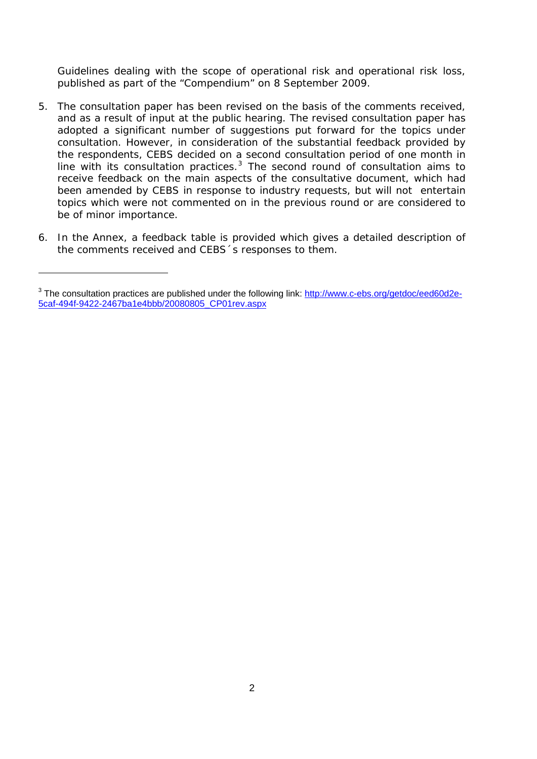Guidelines dealing with the scope of operational risk and operational risk loss, published as part of the "Compendium" on 8 September 2009.

- 5. The consultation paper has been revised on the basis of the comments received, and as a result of input at the public hearing. The revised consultation paper has adopted a significant number of suggestions put forward for the topics under consultation. However, in consideration of the substantial feedback provided by the respondents, CEBS decided on a second consultation period of one month in line with its consultation practices.<sup>[3](#page-1-0)</sup> The second round of consultation aims to receive feedback on the main aspects of the consultative document, which had been amended by CEBS in response to industry requests, but will not entertain topics which were not commented on in the previous round or are considered to be of minor importance.
- 6. In the Annex, a feedback table is provided which gives a detailed description of the comments received and CEBS´s responses to them.

 $\overline{a}$ 

<span id="page-1-0"></span><sup>&</sup>lt;sup>3</sup> The consultation practices are published under the following link: [http://www.c-ebs.org/getdoc/eed60d2e-](http://www.c-ebs.org/getdoc/eed60d2e-5caf-494f-9422-2467ba1e4bbb/20080805_CP01rev.aspx)[5caf-494f-9422-2467ba1e4bbb/20080805\\_CP01rev.aspx](http://www.c-ebs.org/getdoc/eed60d2e-5caf-494f-9422-2467ba1e4bbb/20080805_CP01rev.aspx)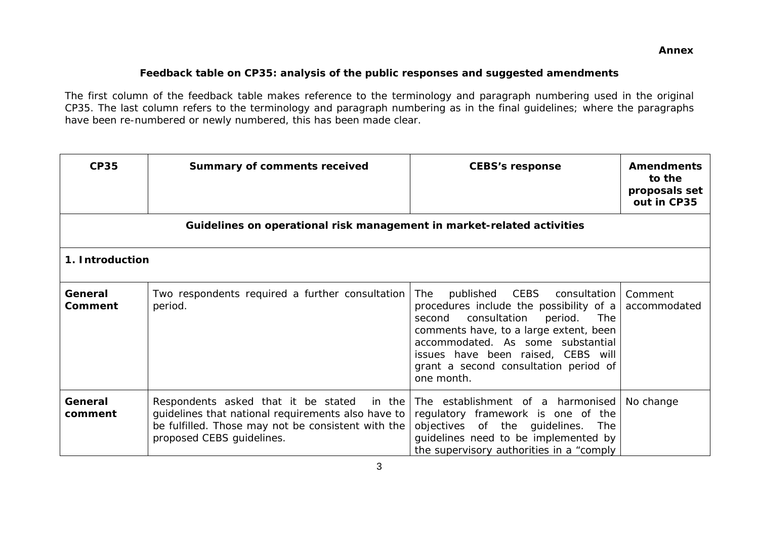## **Feedback table on CP35: analysis of the public responses and suggested amendments**

The first column of the feedback table makes reference to the terminology and paragraph numbering used in the original CP35. The last column refers to the terminology and paragraph numbering as in the final guidelines; where the paragraphs have been re-numbered or newly numbered, this has been made clear.

| <b>CP35</b>               | <b>Summary of comments received</b>                                                                                                                                                    | <b>CEBS's response</b>                                                                                                                                                                                                                                                                                     | <b>Amendments</b><br>to the<br>proposals set<br>out in CP35 |  |  |
|---------------------------|----------------------------------------------------------------------------------------------------------------------------------------------------------------------------------------|------------------------------------------------------------------------------------------------------------------------------------------------------------------------------------------------------------------------------------------------------------------------------------------------------------|-------------------------------------------------------------|--|--|
|                           | Guidelines on operational risk management in market-related activities                                                                                                                 |                                                                                                                                                                                                                                                                                                            |                                                             |  |  |
| 1. Introduction           |                                                                                                                                                                                        |                                                                                                                                                                                                                                                                                                            |                                                             |  |  |
| General<br><b>Comment</b> | Two respondents required a further consultation<br>period.                                                                                                                             | published CEBS<br>The<br>consultation  <br>procedures include the possibility of a<br>consultation<br>second<br>period.<br>The<br>comments have, to a large extent, been<br>accommodated. As some substantial<br>issues have been raised, CEBS will<br>grant a second consultation period of<br>one month. | Comment<br>accommodated                                     |  |  |
| General<br>comment        | Respondents asked that it be stated<br>in the<br>guidelines that national requirements also have to<br>be fulfilled. Those may not be consistent with the<br>proposed CEBS guidelines. | The establishment of a harmonised<br>regulatory framework is one of the<br>objectives of the guidelines.<br>The<br>guidelines need to be implemented by<br>the supervisory authorities in a "comply                                                                                                        | No change                                                   |  |  |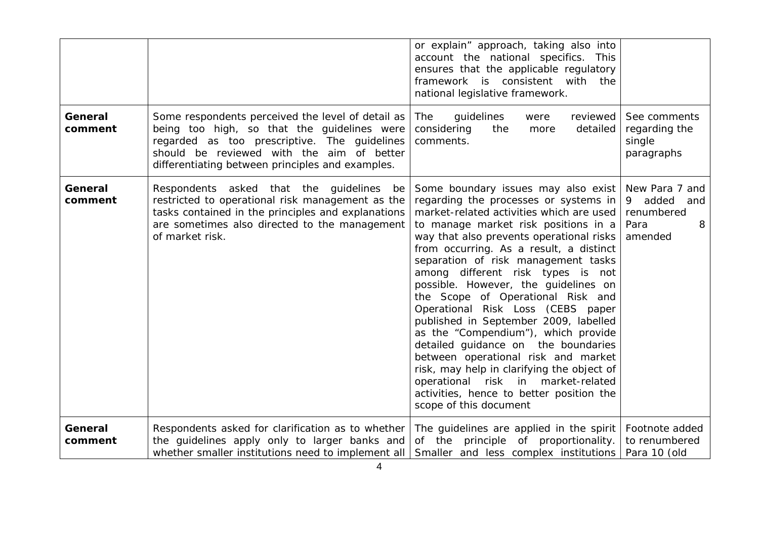|                    |                                                                                                                                                                                                                                                   | or explain" approach, taking also into<br>account the national specifics. This<br>ensures that the applicable regulatory<br>framework is consistent with the<br>national legislative framework.                                                                                                                                                                                                                                                                                                                                                                                                                                                                                                                                                                               |                                                                        |
|--------------------|---------------------------------------------------------------------------------------------------------------------------------------------------------------------------------------------------------------------------------------------------|-------------------------------------------------------------------------------------------------------------------------------------------------------------------------------------------------------------------------------------------------------------------------------------------------------------------------------------------------------------------------------------------------------------------------------------------------------------------------------------------------------------------------------------------------------------------------------------------------------------------------------------------------------------------------------------------------------------------------------------------------------------------------------|------------------------------------------------------------------------|
| General<br>comment | Some respondents perceived the level of detail as<br>being too high, so that the guidelines were<br>regarded as too prescriptive. The guidelines<br>should be reviewed with the aim of better<br>differentiating between principles and examples. | guidelines<br>The<br>reviewed<br>were<br>considering<br>the<br>detailed<br>more<br>comments.                                                                                                                                                                                                                                                                                                                                                                                                                                                                                                                                                                                                                                                                                  | See comments<br>regarding the<br>single<br>paragraphs                  |
| General<br>comment | Respondents asked that the guidelines<br>be<br>restricted to operational risk management as the<br>tasks contained in the principles and explanations<br>are sometimes also directed to the management<br>of market risk.                         | Some boundary issues may also exist<br>regarding the processes or systems in<br>market-related activities which are used<br>to manage market risk positions in a<br>way that also prevents operational risks<br>from occurring. As a result, a distinct<br>separation of risk management tasks<br>among different risk types is not<br>possible. However, the guidelines on<br>the Scope of Operational Risk and<br>Operational Risk Loss (CEBS paper<br>published in September 2009, labelled<br>as the "Compendium"), which provide<br>detailed guidance on the boundaries<br>between operational risk and market<br>risk, may help in clarifying the object of<br>operational risk in market-related<br>activities, hence to better position the<br>scope of this document | New Para 7 and<br>9 added<br>and<br>renumbered<br>8<br>Para<br>amended |
| General<br>comment | Respondents asked for clarification as to whether<br>the guidelines apply only to larger banks and<br>whether smaller institutions need to implement all                                                                                          | The guidelines are applied in the spirit<br>of the principle of proportionality.<br>Smaller and less complex institutions                                                                                                                                                                                                                                                                                                                                                                                                                                                                                                                                                                                                                                                     | Footnote added<br>to renumbered<br>Para 10 (old                        |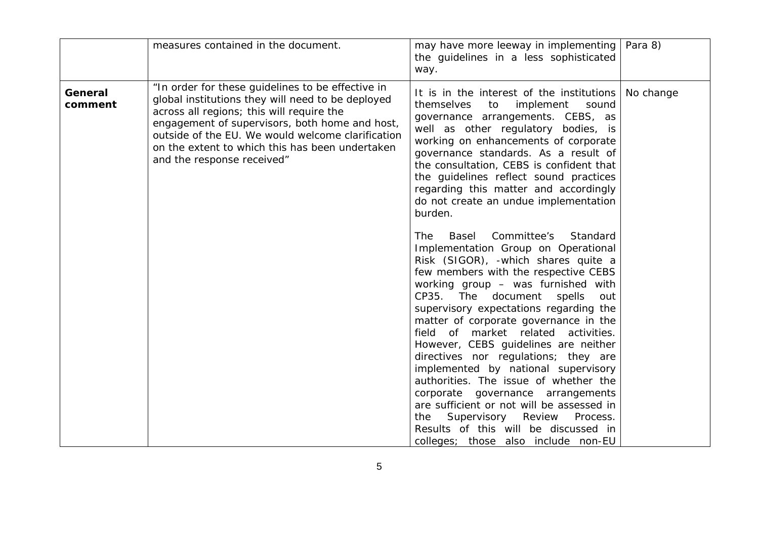|                    | measures contained in the document.                                                                                                                                                                                                                                                                                                         | may have more leeway in implementing<br>the guidelines in a less sophisticated<br>way.                                                                                                                                                                                                                                                                                                                                                                                                                                                                                                                                                                                                                                                              | Para 8)   |
|--------------------|---------------------------------------------------------------------------------------------------------------------------------------------------------------------------------------------------------------------------------------------------------------------------------------------------------------------------------------------|-----------------------------------------------------------------------------------------------------------------------------------------------------------------------------------------------------------------------------------------------------------------------------------------------------------------------------------------------------------------------------------------------------------------------------------------------------------------------------------------------------------------------------------------------------------------------------------------------------------------------------------------------------------------------------------------------------------------------------------------------------|-----------|
| General<br>comment | "In order for these guidelines to be effective in<br>global institutions they will need to be deployed<br>across all regions; this will require the<br>engagement of supervisors, both home and host,<br>outside of the EU. We would welcome clarification<br>on the extent to which this has been undertaken<br>and the response received" | It is in the interest of the institutions<br>themselves<br>implement<br>to<br>sound<br>governance arrangements. CEBS, as<br>well as other regulatory bodies, is<br>working on enhancements of corporate<br>governance standards. As a result of<br>the consultation, CEBS is confident that<br>the guidelines reflect sound practices<br>regarding this matter and accordingly<br>do not create an undue implementation<br>burden.                                                                                                                                                                                                                                                                                                                  | No change |
|                    |                                                                                                                                                                                                                                                                                                                                             | Committee's<br>Standard<br>The T<br>Basel<br>Implementation Group on Operational<br>Risk (SIGOR), -which shares quite a<br>few members with the respective CEBS<br>working group - was furnished with<br>CP35. The document<br>spells<br>out<br>supervisory expectations regarding the<br>matter of corporate governance in the<br>field of market related activities.<br>However, CEBS guidelines are neither<br>directives nor regulations; they are<br>implemented by national supervisory<br>authorities. The issue of whether the<br>corporate governance arrangements<br>are sufficient or not will be assessed in<br>Supervisory<br>Review<br>Process.<br>the<br>Results of this will be discussed in<br>colleges; those also include non-EU |           |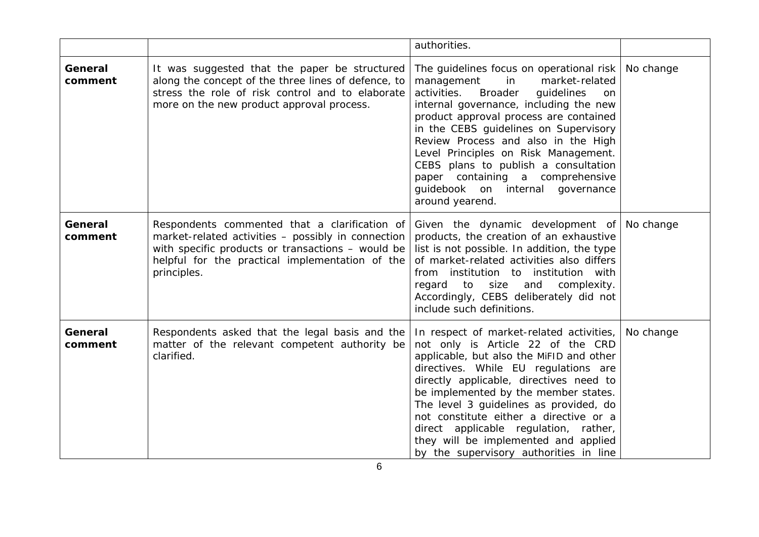|                    |                                                                                                                                                                                                                            | authorities.                                                                                                                                                                                                                                                                                                                                                                                                                                                                       |           |
|--------------------|----------------------------------------------------------------------------------------------------------------------------------------------------------------------------------------------------------------------------|------------------------------------------------------------------------------------------------------------------------------------------------------------------------------------------------------------------------------------------------------------------------------------------------------------------------------------------------------------------------------------------------------------------------------------------------------------------------------------|-----------|
| General<br>comment | It was suggested that the paper be structured<br>along the concept of the three lines of defence, to<br>stress the role of risk control and to elaborate<br>more on the new product approval process.                      | The guidelines focus on operational risk<br>management<br>market-related<br>in<br>activities.<br><b>Broader</b><br>guidelines<br>on<br>internal governance, including the new<br>product approval process are contained<br>in the CEBS guidelines on Supervisory<br>Review Process and also in the High<br>Level Principles on Risk Management.<br>CEBS plans to publish a consultation<br>paper containing a comprehensive<br>guidebook on internal governance<br>around yearend. | No change |
| General<br>comment | Respondents commented that a clarification of<br>market-related activities - possibly in connection<br>with specific products or transactions - would be<br>helpful for the practical implementation of the<br>principles. | Given the dynamic development of<br>products, the creation of an exhaustive<br>list is not possible. In addition, the type<br>of market-related activities also differs<br>from institution to institution with<br>and<br>regard<br>to<br>size<br>complexity.<br>Accordingly, CEBS deliberately did not<br>include such definitions.                                                                                                                                               | No change |
| General<br>comment | Respondents asked that the legal basis and the<br>matter of the relevant competent authority be<br>clarified.                                                                                                              | In respect of market-related activities,<br>not only is Article 22 of the CRD<br>applicable, but also the MiFID and other<br>directives. While EU regulations are<br>directly applicable, directives need to<br>be implemented by the member states.<br>The level 3 guidelines as provided, do<br>not constitute either a directive or a<br>direct applicable regulation, rather,<br>they will be implemented and applied<br>by the supervisory authorities in line                | No change |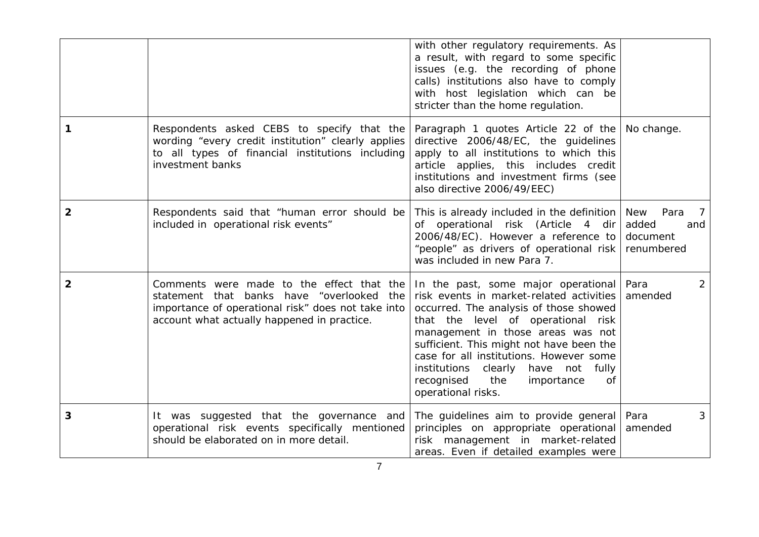|              |                                                                                                                                                                                                   | with other regulatory requirements. As<br>a result, with regard to some specific<br>issues (e.g. the recording of phone<br>calls) institutions also have to comply<br>with host legislation which can be<br>stricter than the home regulation.                                                                                                                                                          |                                                                                |
|--------------|---------------------------------------------------------------------------------------------------------------------------------------------------------------------------------------------------|---------------------------------------------------------------------------------------------------------------------------------------------------------------------------------------------------------------------------------------------------------------------------------------------------------------------------------------------------------------------------------------------------------|--------------------------------------------------------------------------------|
| 1            | Respondents asked CEBS to specify that the<br>wording "every credit institution" clearly applies<br>to all types of financial institutions including<br>investment banks                          | Paragraph 1 quotes Article 22 of the<br>directive 2006/48/EC, the guidelines<br>apply to all institutions to which this<br>article applies, this includes credit<br>institutions and investment firms (see<br>also directive 2006/49/EEC)                                                                                                                                                               | No change.                                                                     |
| $\mathbf{2}$ | Respondents said that "human error should be<br>included in operational risk events"                                                                                                              | This is already included in the definition<br>of operational risk (Article 4 dir<br>2006/48/EC). However a reference to<br>"people" as drivers of operational risk<br>was included in new Para 7.                                                                                                                                                                                                       | <b>New</b><br>Para<br>$\overline{7}$<br>added<br>and<br>document<br>renumbered |
| $\mathbf{2}$ | Comments were made to the effect that the<br>statement that banks have<br>"overlooked<br>the<br>importance of operational risk" does not take into<br>account what actually happened in practice. | In the past, some major operational<br>risk events in market-related activities<br>occurred. The analysis of those showed<br>that the level of operational risk<br>management in those areas was not<br>sufficient. This might not have been the<br>case for all institutions. However some<br>institutions<br>clearly<br>have not fully<br>recognised<br>the<br>importance<br>Οf<br>operational risks. | Para<br>$\overline{2}$<br>amended                                              |
| 3            | It was suggested that the governance and<br>operational risk events specifically mentioned<br>should be elaborated on in more detail.                                                             | The guidelines aim to provide general<br>principles on appropriate operational<br>risk management in market-related<br>areas. Even if detailed examples were                                                                                                                                                                                                                                            | Para<br>3<br>amended                                                           |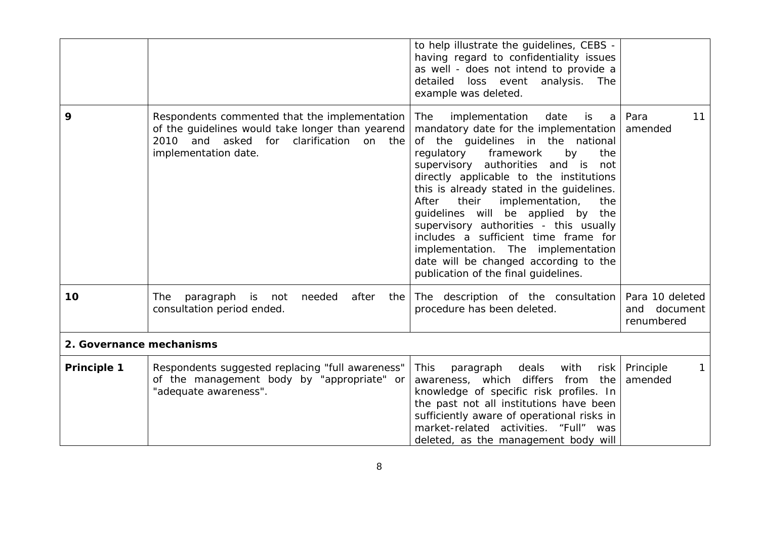|                          |                                                                                                                                                                                  | to help illustrate the guidelines, CEBS -<br>having regard to confidentiality issues<br>as well - does not intend to provide a<br>detailed<br>loss event<br>analysis.<br>The<br>example was deleted.                                                                                                                                                                                                                                                                                                                                                                                         |                                               |
|--------------------------|----------------------------------------------------------------------------------------------------------------------------------------------------------------------------------|----------------------------------------------------------------------------------------------------------------------------------------------------------------------------------------------------------------------------------------------------------------------------------------------------------------------------------------------------------------------------------------------------------------------------------------------------------------------------------------------------------------------------------------------------------------------------------------------|-----------------------------------------------|
| 9                        | Respondents commented that the implementation<br>of the guidelines would take longer than yearend<br>and asked<br>on the<br>2010<br>for<br>clarification<br>implementation date. | implementation<br>The<br>date<br>is<br>a<br>mandatory date for the implementation<br>of the guidelines in the national<br>regulatory<br>framework<br>by<br>the<br>supervisory authorities and is<br>not<br>directly applicable to the institutions<br>this is already stated in the guidelines.<br>After<br>their<br>implementation,<br>the<br>guidelines will be applied by<br>the<br>supervisory authorities - this usually<br>includes a sufficient time frame for<br>implementation. The implementation<br>date will be changed according to the<br>publication of the final guidelines. | Para<br>11<br>amended                         |
| 10                       | paragraph is not<br>The<br>needed<br>after<br>the<br>consultation period ended.                                                                                                  | The description of the consultation<br>procedure has been deleted.                                                                                                                                                                                                                                                                                                                                                                                                                                                                                                                           | Para 10 deleted<br>and document<br>renumbered |
| 2. Governance mechanisms |                                                                                                                                                                                  |                                                                                                                                                                                                                                                                                                                                                                                                                                                                                                                                                                                              |                                               |
| <b>Principle 1</b>       | Respondents suggested replacing "full awareness"<br>of the management body by "appropriate" or<br>"adequate awareness".                                                          | deals<br>with<br><b>This</b><br>paragraph<br>risk<br>awareness, which differs<br>from<br>the<br>knowledge of specific risk profiles. In<br>the past not all institutions have been<br>sufficiently aware of operational risks in<br>market-related activities. "Full" was<br>deleted, as the management body will                                                                                                                                                                                                                                                                            | Principle<br>1<br>amended                     |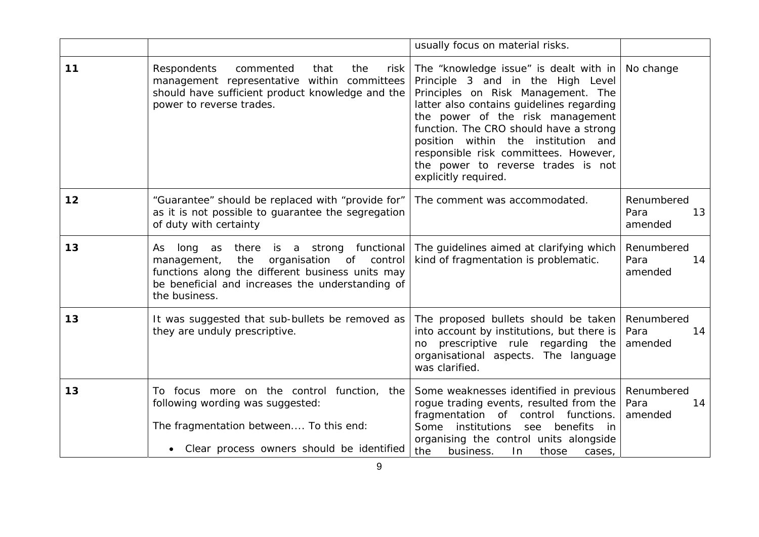|    |                                                                                                                                                                                                                         | usually focus on material risks.                                                                                                                                                                                                                                                                                                                                                           |                                     |
|----|-------------------------------------------------------------------------------------------------------------------------------------------------------------------------------------------------------------------------|--------------------------------------------------------------------------------------------------------------------------------------------------------------------------------------------------------------------------------------------------------------------------------------------------------------------------------------------------------------------------------------------|-------------------------------------|
| 11 | Respondents<br>commented<br>that<br>the<br>risk<br>management representative within committees<br>should have sufficient product knowledge and the<br>power to reverse trades.                                          | The "knowledge issue" is dealt with in<br>Principle 3 and in the High Level<br>Principles on Risk Management. The<br>latter also contains guidelines regarding<br>the power of the risk management<br>function. The CRO should have a strong<br>position within the institution and<br>responsible risk committees. However,<br>the power to reverse trades is not<br>explicitly required. | No change                           |
| 12 | "Guarantee" should be replaced with "provide for"<br>as it is not possible to guarantee the segregation<br>of duty with certainty                                                                                       | The comment was accommodated.                                                                                                                                                                                                                                                                                                                                                              | Renumbered<br>Para<br>13<br>amended |
| 13 | long as<br>there is a strong functional<br>As<br>organisation of control<br>management,<br>the<br>functions along the different business units may<br>be beneficial and increases the understanding of<br>the business. | The guidelines aimed at clarifying which<br>kind of fragmentation is problematic.                                                                                                                                                                                                                                                                                                          | Renumbered<br>Para<br>14<br>amended |
| 13 | It was suggested that sub-bullets be removed as<br>they are unduly prescriptive.                                                                                                                                        | The proposed bullets should be taken<br>into account by institutions, but there is<br>no prescriptive rule regarding the<br>organisational aspects. The language<br>was clarified.                                                                                                                                                                                                         | Renumbered<br>Para<br>14<br>amended |
| 13 | To focus more on the control function, the<br>following wording was suggested:<br>The fragmentation between To this end:<br>• Clear process owners should be identified                                                 | Some weaknesses identified in previous<br>rogue trading events, resulted from the<br>fragmentation of control functions.<br>Some<br>institutions<br>benefits<br>see<br>-in<br>organising the control units alongside<br>the<br>business.<br>In<br>those<br>cases,                                                                                                                          | Renumbered<br>Para<br>14<br>amended |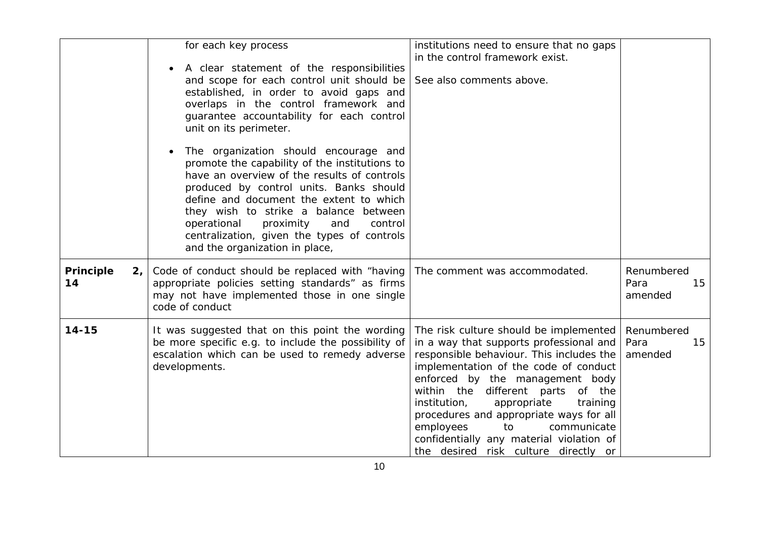|                                   | for each key process<br>A clear statement of the responsibilities<br>and scope for each control unit should be<br>established, in order to avoid gaps and<br>overlaps in the control framework and<br>guarantee accountability for each control<br>unit on its perimeter.<br>The organization should encourage and<br>promote the capability of the institutions to<br>have an overview of the results of controls<br>produced by control units. Banks should<br>define and document the extent to which<br>they wish to strike a balance between<br>operational<br>proximity<br>control<br>and<br>centralization, given the types of controls<br>and the organization in place, | institutions need to ensure that no gaps<br>in the control framework exist.<br>See also comments above.                                                                                                                                                                                                                                                                                                                                                    |                                     |
|-----------------------------------|----------------------------------------------------------------------------------------------------------------------------------------------------------------------------------------------------------------------------------------------------------------------------------------------------------------------------------------------------------------------------------------------------------------------------------------------------------------------------------------------------------------------------------------------------------------------------------------------------------------------------------------------------------------------------------|------------------------------------------------------------------------------------------------------------------------------------------------------------------------------------------------------------------------------------------------------------------------------------------------------------------------------------------------------------------------------------------------------------------------------------------------------------|-------------------------------------|
| Principle<br>2 <sub>1</sub><br>14 | Code of conduct should be replaced with "having<br>appropriate policies setting standards" as firms<br>may not have implemented those in one single<br>code of conduct                                                                                                                                                                                                                                                                                                                                                                                                                                                                                                           | The comment was accommodated.                                                                                                                                                                                                                                                                                                                                                                                                                              | Renumbered<br>Para<br>15<br>amended |
| $14 - 15$                         | It was suggested that on this point the wording<br>be more specific e.g. to include the possibility of<br>escalation which can be used to remedy adverse<br>developments.                                                                                                                                                                                                                                                                                                                                                                                                                                                                                                        | The risk culture should be implemented<br>in a way that supports professional and<br>responsible behaviour. This includes the<br>implementation of the code of conduct<br>enforced by the management body<br>within the different parts of the<br>institution,<br>appropriate<br>training<br>procedures and appropriate ways for all<br>employees<br>to<br>communicate<br>confidentially any material violation of<br>the desired risk culture directly or | Renumbered<br>Para<br>15<br>amended |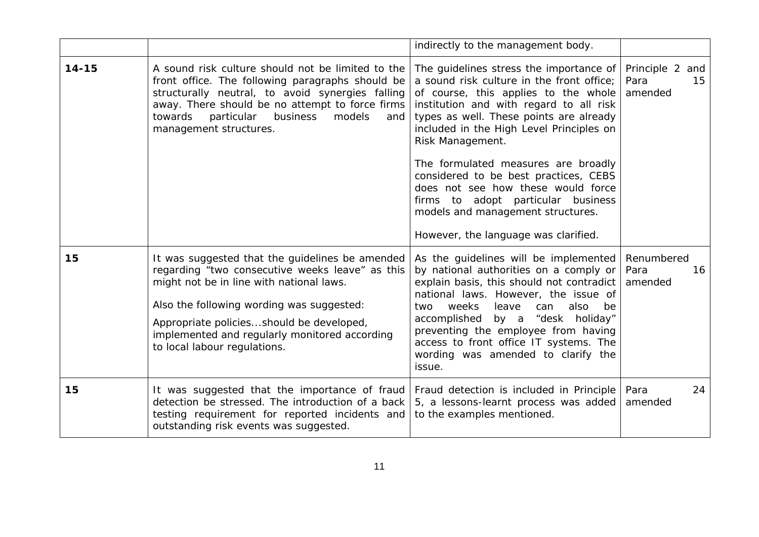|           |                                                                                                                                                                                                                                                                                                                          | indirectly to the management body.                                                                                                                                                                                                                                                                                                                                                            |                                             |
|-----------|--------------------------------------------------------------------------------------------------------------------------------------------------------------------------------------------------------------------------------------------------------------------------------------------------------------------------|-----------------------------------------------------------------------------------------------------------------------------------------------------------------------------------------------------------------------------------------------------------------------------------------------------------------------------------------------------------------------------------------------|---------------------------------------------|
| $14 - 15$ | A sound risk culture should not be limited to the<br>front office. The following paragraphs should be<br>structurally neutral, to avoid synergies falling<br>away. There should be no attempt to force firms<br>towards<br>particular<br>business<br>models<br>and<br>management structures.                             | The guidelines stress the importance of<br>a sound risk culture in the front office;<br>of course, this applies to the whole<br>institution and with regard to all risk<br>types as well. These points are already<br>included in the High Level Principles on<br>Risk Management.                                                                                                            | Principle 2<br>and<br>Para<br>15<br>amended |
|           |                                                                                                                                                                                                                                                                                                                          | The formulated measures are broadly<br>considered to be best practices, CEBS<br>does not see how these would force<br>firms to adopt particular business<br>models and management structures.<br>However, the language was clarified.                                                                                                                                                         |                                             |
|           |                                                                                                                                                                                                                                                                                                                          |                                                                                                                                                                                                                                                                                                                                                                                               |                                             |
| 15        | It was suggested that the guidelines be amended<br>regarding "two consecutive weeks leave" as this<br>might not be in line with national laws.<br>Also the following wording was suggested:<br>Appropriate policiesshould be developed,<br>implemented and regularly monitored according<br>to local labour regulations. | As the guidelines will be implemented<br>by national authorities on a comply or<br>explain basis, this should not contradict<br>national laws. However, the issue of<br>weeks<br>two<br>leave<br>can<br>also<br>be<br>accomplished<br>by a<br>"desk holiday"<br>preventing the employee from having<br>access to front office IT systems. The<br>wording was amended to clarify the<br>issue. | Renumbered<br>Para<br>16<br>amended         |
| 15        | It was suggested that the importance of fraud<br>detection be stressed. The introduction of a back<br>testing requirement for reported incidents and<br>outstanding risk events was suggested.                                                                                                                           | Fraud detection is included in Principle<br>5, a lessons-learnt process was added<br>to the examples mentioned.                                                                                                                                                                                                                                                                               | Para<br>24<br>amended                       |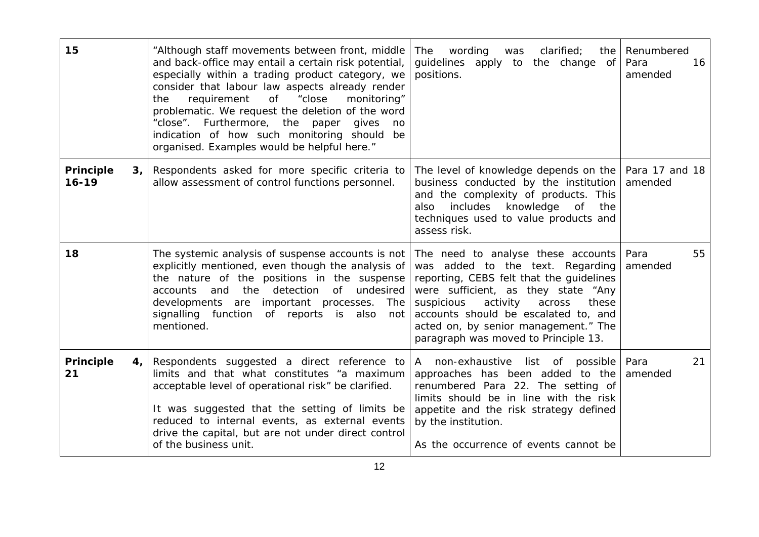| 15                                              | "Although staff movements between front, middle<br>and back-office may entail a certain risk potential,<br>especially within a trading product category, we<br>consider that labour law aspects already render<br>requirement of<br>"close<br>monitoring"<br>the<br>problematic. We request the deletion of the word<br>"close". Furthermore, the paper<br>gives<br>no<br>indication of how such monitoring should be<br>organised. Examples would be helpful here." | wording<br>clarified;<br>The<br>was<br>the<br>guidelines apply to the change<br>of<br>positions.                                                                                                                                                                                                                               | Renumbered<br>Para<br>16<br>amended |
|-------------------------------------------------|----------------------------------------------------------------------------------------------------------------------------------------------------------------------------------------------------------------------------------------------------------------------------------------------------------------------------------------------------------------------------------------------------------------------------------------------------------------------|--------------------------------------------------------------------------------------------------------------------------------------------------------------------------------------------------------------------------------------------------------------------------------------------------------------------------------|-------------------------------------|
| <b>Principle</b><br>3 <sub>1</sub><br>$16 - 19$ | Respondents asked for more specific criteria to<br>allow assessment of control functions personnel.                                                                                                                                                                                                                                                                                                                                                                  | The level of knowledge depends on the<br>business conducted by the institution<br>and the complexity of products. This<br>knowledge<br>includes<br>of<br>the<br>also<br>techniques used to value products and<br>assess risk.                                                                                                  | Para 17 and 18<br>amended           |
| 18                                              | The systemic analysis of suspense accounts is not<br>explicitly mentioned, even though the analysis of<br>the nature of the positions in the suspense<br>detection<br>of undesired<br>and the<br>accounts<br>developments are important processes.<br>The<br>signalling function of reports is also<br>not<br>mentioned.                                                                                                                                             | The need to analyse these accounts<br>was added to the text. Regarding<br>reporting, CEBS felt that the guidelines<br>were sufficient, as they state "Any<br>activity<br>suspicious<br>across<br>these<br>accounts should be escalated to, and<br>acted on, by senior management." The<br>paragraph was moved to Principle 13. | Para<br>55<br>amended               |
| <b>Principle</b><br>4,<br>21                    | Respondents suggested a direct reference to<br>limits and that what constitutes "a maximum<br>acceptable level of operational risk" be clarified.<br>It was suggested that the setting of limits be<br>reduced to internal events, as external events<br>drive the capital, but are not under direct control<br>of the business unit.                                                                                                                                | A non-exhaustive list of possible<br>approaches has been added to the<br>renumbered Para 22. The setting of<br>limits should be in line with the risk<br>appetite and the risk strategy defined<br>by the institution.<br>As the occurrence of events cannot be                                                                | 21<br>Para<br>amended               |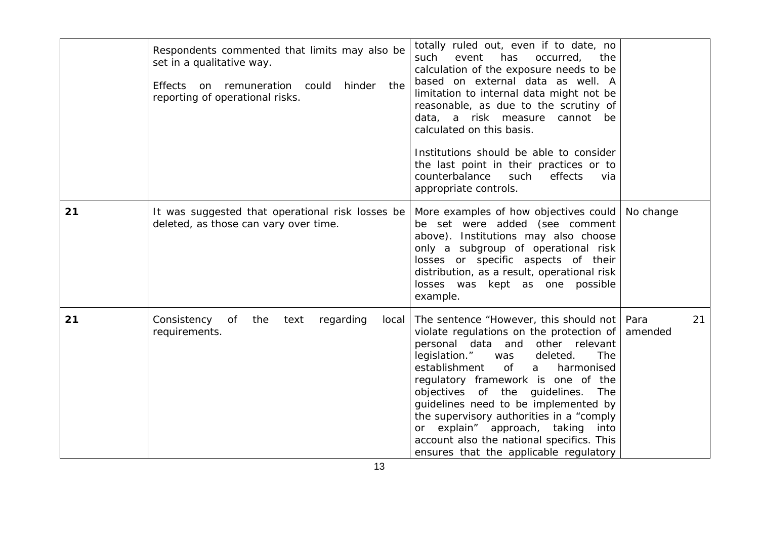|    | Respondents commented that limits may also be<br>set in a qualitative way.<br>Effects on remuneration could<br>hinder<br>the<br>reporting of operational risks. | totally ruled out, even if to date, no<br>such<br>event<br>has<br>occurred,<br>the<br>calculation of the exposure needs to be<br>based on external data as well. A<br>limitation to internal data might not be<br>reasonable, as due to the scrutiny of<br>data, a risk measure<br>cannot be<br>calculated on this basis.<br>Institutions should be able to consider<br>the last point in their practices or to<br>counterbalance<br>such<br>effects<br>via<br>appropriate controls.                          |                       |
|----|-----------------------------------------------------------------------------------------------------------------------------------------------------------------|---------------------------------------------------------------------------------------------------------------------------------------------------------------------------------------------------------------------------------------------------------------------------------------------------------------------------------------------------------------------------------------------------------------------------------------------------------------------------------------------------------------|-----------------------|
| 21 | It was suggested that operational risk losses be<br>deleted, as those can vary over time.                                                                       | More examples of how objectives could<br>be set were added (see comment<br>above). Institutions may also choose<br>only a subgroup of operational risk<br>losses or specific aspects of their<br>distribution, as a result, operational risk<br>losses was kept as one possible<br>example.                                                                                                                                                                                                                   | No change             |
| 21 | Consistency<br>of<br>the<br>text<br>regarding<br>local<br>requirements.                                                                                         | The sentence "However, this should not<br>violate regulations on the protection of<br>personal data and other relevant<br>legislation."<br>deleted.<br>The<br>was<br>establishment<br>$\circ$ f<br>harmonised<br>a<br>regulatory framework is one of the<br>objectives of the guidelines. The<br>guidelines need to be implemented by<br>the supervisory authorities in a "comply<br>or explain" approach, taking into<br>account also the national specifics. This<br>ensures that the applicable regulatory | Para<br>21<br>amended |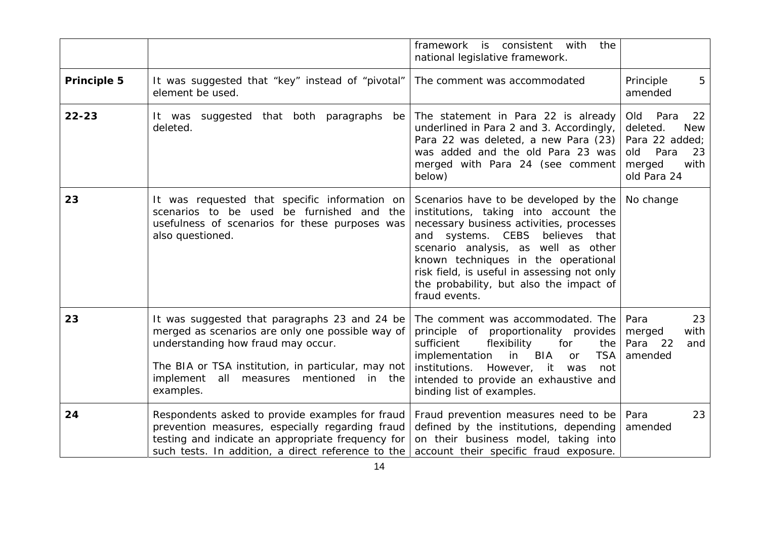|                    |                                                                                                                                                                                                                                                             | with<br>framework is consistent<br>the<br>national legislative framework.                                                                                                                                                                                                                                                                                       |                                                                                                                     |
|--------------------|-------------------------------------------------------------------------------------------------------------------------------------------------------------------------------------------------------------------------------------------------------------|-----------------------------------------------------------------------------------------------------------------------------------------------------------------------------------------------------------------------------------------------------------------------------------------------------------------------------------------------------------------|---------------------------------------------------------------------------------------------------------------------|
| <b>Principle 5</b> | It was suggested that "key" instead of "pivotal"<br>element be used.                                                                                                                                                                                        | The comment was accommodated                                                                                                                                                                                                                                                                                                                                    | Principle<br>5<br>amended                                                                                           |
| $22 - 23$          | It was suggested that both paragraphs<br>be<br>deleted.                                                                                                                                                                                                     | The statement in Para 22 is already<br>underlined in Para 2 and 3. Accordingly,<br>Para 22 was deleted, a new Para (23)<br>was added and the old Para 23 was<br>merged with Para 24 (see comment<br>below)                                                                                                                                                      | Para<br>Old<br>22<br>deleted.<br><b>New</b><br>Para 22 added;<br>Para<br>23<br>old<br>merged<br>with<br>old Para 24 |
| 23                 | It was requested that specific information on<br>scenarios to be used be furnished and the<br>usefulness of scenarios for these purposes was<br>also questioned.                                                                                            | Scenarios have to be developed by the<br>institutions, taking into account the<br>necessary business activities, processes<br>systems. CEBS<br>believes<br>and<br>that<br>scenario analysis, as well as other<br>known techniques in the operational<br>risk field, is useful in assessing not only<br>the probability, but also the impact of<br>fraud events. | No change                                                                                                           |
| 23                 | It was suggested that paragraphs 23 and 24 be<br>merged as scenarios are only one possible way of<br>understanding how fraud may occur.<br>The BIA or TSA institution, in particular, may not<br>implement<br>all measures mentioned<br>in the<br>examples. | The comment was accommodated. The<br>principle of proportionality provides<br>sufficient<br>flexibility<br>for<br>the<br>implementation<br><b>BIA</b><br><b>TSA</b><br>in<br>or<br>institutions. However, it<br>was<br>not<br>intended to provide an exhaustive and<br>binding list of examples.                                                                | 23<br>Para<br>with<br>merged<br>Para<br>22<br>and<br>amended                                                        |
| 24                 | Respondents asked to provide examples for fraud<br>prevention measures, especially regarding fraud<br>testing and indicate an appropriate frequency for<br>such tests. In addition, a direct reference to the                                               | Fraud prevention measures need to be<br>defined by the institutions, depending<br>on their business model, taking into<br>account their specific fraud exposure.                                                                                                                                                                                                | Para<br>23<br>amended                                                                                               |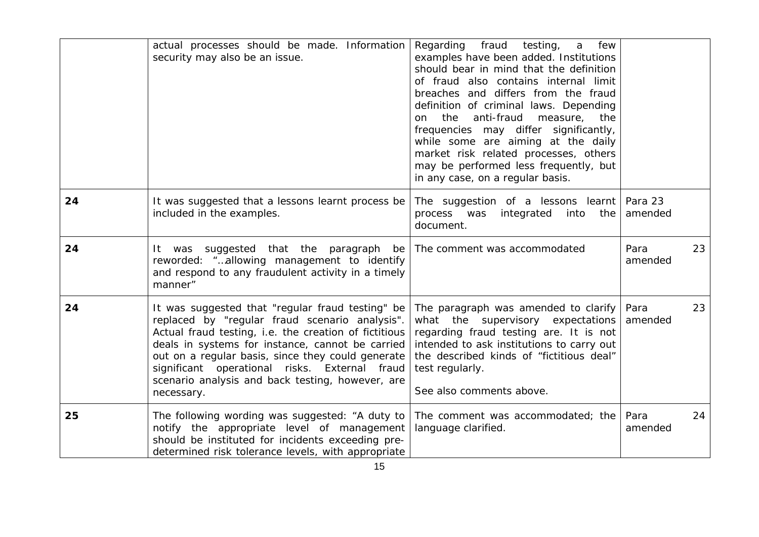|    | actual processes should be made. Information<br>security may also be an issue.                                                                                                                                                                                                                                                                                                          | fraud<br>few<br>Regarding<br>testing,<br>a<br>examples have been added. Institutions<br>should bear in mind that the definition<br>of fraud also contains internal limit<br>breaches and differs from the fraud<br>definition of criminal laws. Depending<br>anti-fraud<br>the<br>measure,<br>the<br>on.<br>frequencies may differ significantly, |                       |
|----|-----------------------------------------------------------------------------------------------------------------------------------------------------------------------------------------------------------------------------------------------------------------------------------------------------------------------------------------------------------------------------------------|---------------------------------------------------------------------------------------------------------------------------------------------------------------------------------------------------------------------------------------------------------------------------------------------------------------------------------------------------|-----------------------|
|    |                                                                                                                                                                                                                                                                                                                                                                                         | while some are aiming at the daily<br>market risk related processes, others<br>may be performed less frequently, but<br>in any case, on a regular basis.                                                                                                                                                                                          |                       |
| 24 | It was suggested that a lessons learnt process be<br>included in the examples.                                                                                                                                                                                                                                                                                                          | The suggestion of a lessons learnt<br>process was<br>integrated<br>into<br>the<br>document.                                                                                                                                                                                                                                                       | Para 23<br>amended    |
| 24 | It was suggested that the paragraph<br>be  <br>reworded: "allowing management to identify<br>and respond to any fraudulent activity in a timely<br>manner"                                                                                                                                                                                                                              | The comment was accommodated                                                                                                                                                                                                                                                                                                                      | Para<br>23<br>amended |
| 24 | It was suggested that "regular fraud testing" be<br>replaced by "regular fraud scenario analysis".<br>Actual fraud testing, i.e. the creation of fictitious<br>deals in systems for instance, cannot be carried<br>out on a regular basis, since they could generate<br>significant operational risks. External fraud<br>scenario analysis and back testing, however, are<br>necessary. | The paragraph was amended to clarify<br>what the supervisory expectations<br>regarding fraud testing are. It is not<br>intended to ask institutions to carry out<br>the described kinds of "fictitious deal"<br>test regularly.<br>See also comments above.                                                                                       | 23<br>Para<br>amended |
| 25 | The following wording was suggested: "A duty to<br>notify the appropriate level of management<br>should be instituted for incidents exceeding pre-<br>determined risk tolerance levels, with appropriate                                                                                                                                                                                | The comment was accommodated; the<br>language clarified.                                                                                                                                                                                                                                                                                          | Para<br>24<br>amended |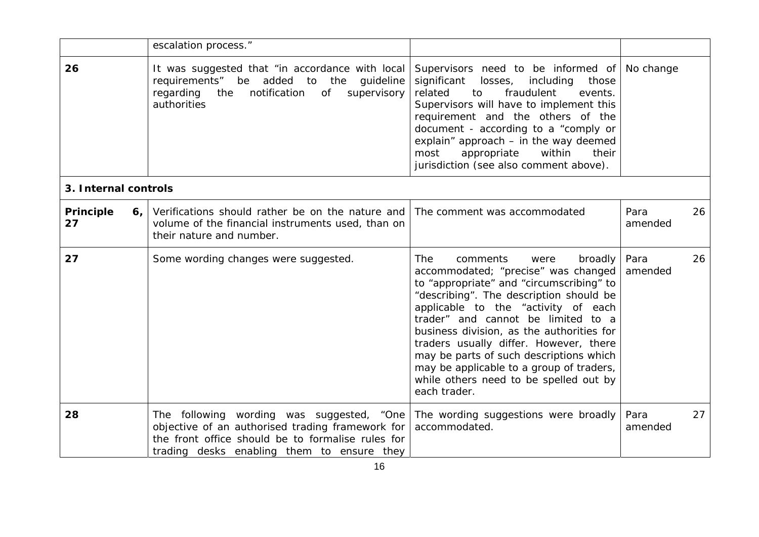|                       | escalation process."                                                                                                                                                                             |                                                                                                                                                                                                                                                                                                                                                                                                                                                                                              |                       |
|-----------------------|--------------------------------------------------------------------------------------------------------------------------------------------------------------------------------------------------|----------------------------------------------------------------------------------------------------------------------------------------------------------------------------------------------------------------------------------------------------------------------------------------------------------------------------------------------------------------------------------------------------------------------------------------------------------------------------------------------|-----------------------|
| 26                    | It was suggested that "in accordance with local<br>be added to the<br>requirements"<br>guideline<br>notification<br>regarding<br>the<br>of<br>supervisory<br>authorities                         | Supervisors need to be informed of<br>significant losses, including<br>those<br>related<br>to<br>fraudulent<br>events.<br>Supervisors will have to implement this<br>requirement and the others of the<br>document - according to a "comply or<br>explain" approach - in the way deemed<br>within<br>most<br>appropriate<br>their<br>jurisdiction (see also comment above).                                                                                                                  | No change             |
| 3. Internal controls  |                                                                                                                                                                                                  |                                                                                                                                                                                                                                                                                                                                                                                                                                                                                              |                       |
| Principle<br>6,<br>27 | Verifications should rather be on the nature and<br>volume of the financial instruments used, than on<br>their nature and number.                                                                | The comment was accommodated                                                                                                                                                                                                                                                                                                                                                                                                                                                                 | Para<br>26<br>amended |
| 27                    | Some wording changes were suggested.                                                                                                                                                             | <b>The</b><br>comments<br>broadly<br>were<br>accommodated; "precise" was changed<br>to "appropriate" and "circumscribing" to<br>"describing". The description should be<br>applicable to the "activity of each<br>trader" and cannot be limited to a<br>business division, as the authorities for<br>traders usually differ. However, there<br>may be parts of such descriptions which<br>may be applicable to a group of traders,<br>while others need to be spelled out by<br>each trader. | Para<br>26<br>amended |
| 28                    | The following wording was suggested, "One<br>objective of an authorised trading framework for<br>the front office should be to formalise rules for<br>trading desks enabling them to ensure they | The wording suggestions were broadly<br>accommodated.                                                                                                                                                                                                                                                                                                                                                                                                                                        | Para<br>27<br>amended |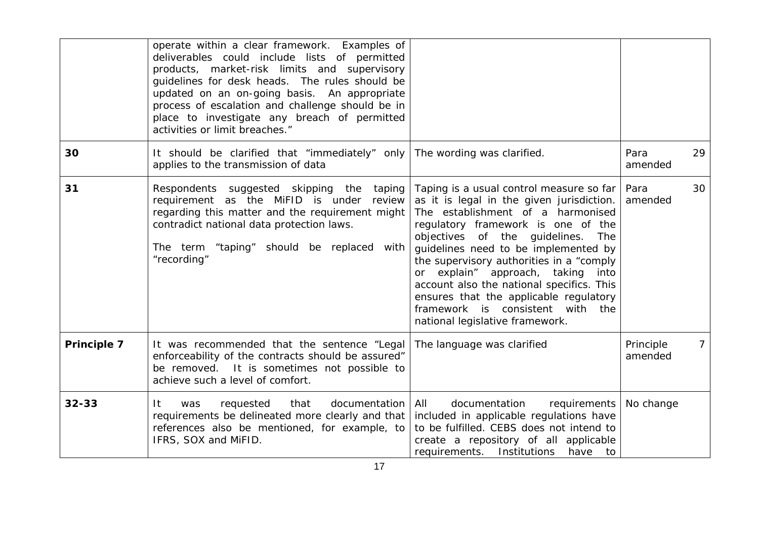|             | operate within a clear framework. Examples of<br>deliverables could include lists of permitted<br>products, market-risk limits and supervisory<br>guidelines for desk heads. The rules should be<br>updated on an on-going basis. An appropriate<br>process of escalation and challenge should be in<br>place to investigate any breach of permitted<br>activities or limit breaches." |                                                                                                                                                                                                                                                                                                                                                                                                                                                                                                    |                      |                 |
|-------------|----------------------------------------------------------------------------------------------------------------------------------------------------------------------------------------------------------------------------------------------------------------------------------------------------------------------------------------------------------------------------------------|----------------------------------------------------------------------------------------------------------------------------------------------------------------------------------------------------------------------------------------------------------------------------------------------------------------------------------------------------------------------------------------------------------------------------------------------------------------------------------------------------|----------------------|-----------------|
| 30          | It should be clarified that "immediately" only<br>applies to the transmission of data                                                                                                                                                                                                                                                                                                  | The wording was clarified.                                                                                                                                                                                                                                                                                                                                                                                                                                                                         | Para<br>amended      | 29              |
| 31          | Respondents suggested skipping the<br>taping<br>requirement as the MiFID is under<br>review<br>regarding this matter and the requirement might<br>contradict national data protection laws.<br>The term "taping" should be replaced with<br>"recording"                                                                                                                                | Taping is a usual control measure so far<br>as it is legal in the given jurisdiction.<br>The establishment of a harmonised<br>regulatory framework is one of the<br>objectives of the guidelines.<br>The<br>guidelines need to be implemented by<br>the supervisory authorities in a "comply<br>or explain" approach, taking<br>into<br>account also the national specifics. This<br>ensures that the applicable regulatory<br>framework is consistent with the<br>national legislative framework. | Para<br>amended      | 30              |
| Principle 7 | It was recommended that the sentence "Legal<br>enforceability of the contracts should be assured"<br>be removed. It is sometimes not possible to<br>achieve such a level of comfort.                                                                                                                                                                                                   | The language was clarified                                                                                                                                                                                                                                                                                                                                                                                                                                                                         | Principle<br>amended | $7\overline{ }$ |
| $32 - 33$   | It<br>requested<br>that<br>documentation<br>was<br>requirements be delineated more clearly and that<br>references also be mentioned, for example, to<br>IFRS, SOX and MiFID.                                                                                                                                                                                                           | All<br>documentation<br>requirements<br>included in applicable regulations have<br>to be fulfilled. CEBS does not intend to<br>create a repository of all applicable<br>requirements. Institutions<br>have<br>to to                                                                                                                                                                                                                                                                                | No change            |                 |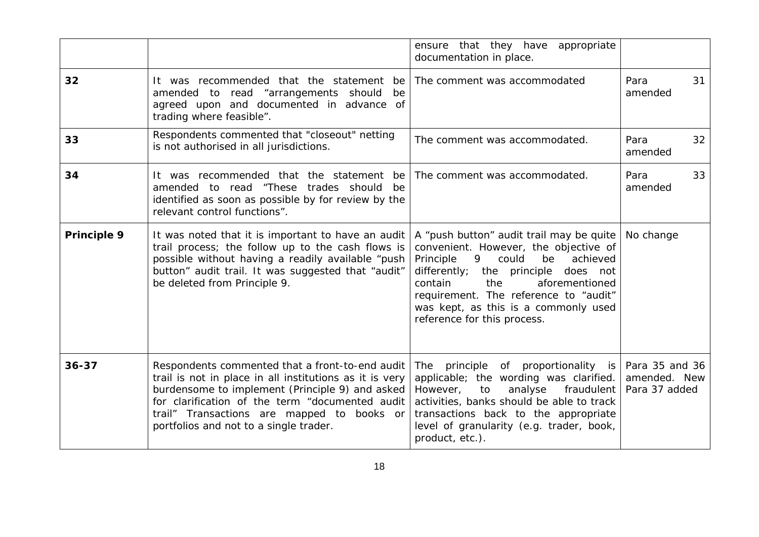|             |                                                                                                                                                                                                                                                                                                          | ensure that they have appropriate<br>documentation in place.                                                                                                                                                                                                                                                               |                                                 |
|-------------|----------------------------------------------------------------------------------------------------------------------------------------------------------------------------------------------------------------------------------------------------------------------------------------------------------|----------------------------------------------------------------------------------------------------------------------------------------------------------------------------------------------------------------------------------------------------------------------------------------------------------------------------|-------------------------------------------------|
| 32          | It was recommended that the statement be<br>amended to read "arrangements should<br>be<br>agreed upon and documented in advance of<br>trading where feasible".                                                                                                                                           | The comment was accommodated                                                                                                                                                                                                                                                                                               | 31<br>Para<br>amended                           |
| 33          | Respondents commented that "closeout" netting<br>is not authorised in all jurisdictions.                                                                                                                                                                                                                 | The comment was accommodated.                                                                                                                                                                                                                                                                                              | Para<br>32<br>amended                           |
| 34          | It was recommended that the statement be<br>amended to read "These trades should<br>be<br>identified as soon as possible by for review by the<br>relevant control functions".                                                                                                                            | The comment was accommodated.                                                                                                                                                                                                                                                                                              | Para<br>33<br>amended                           |
| Principle 9 | It was noted that it is important to have an audit<br>trail process; the follow up to the cash flows is<br>possible without having a readily available "push<br>button" audit trail. It was suggested that "audit"<br>be deleted from Principle 9.                                                       | A "push button" audit trail may be quite<br>convenient. However, the objective of<br>Principle<br>could<br>9.<br>be<br>achieved<br>differently; the principle does not<br>contain<br>the<br>aforementioned<br>requirement. The reference to "audit"<br>was kept, as this is a commonly used<br>reference for this process. | No change                                       |
| $36 - 37$   | Respondents commented that a front-to-end audit<br>trail is not in place in all institutions as it is very<br>burdensome to implement (Principle 9) and asked<br>for clarification of the term "documented audit<br>trail" Transactions are mapped to books or<br>portfolios and not to a single trader. | The principle of proportionality is<br>applicable; the wording was clarified.<br>However,<br>analyse<br>fraudulent<br>to<br>activities, banks should be able to track<br>transactions back to the appropriate<br>level of granularity (e.g. trader, book,<br>product, etc.).                                               | Para 35 and 36<br>amended. New<br>Para 37 added |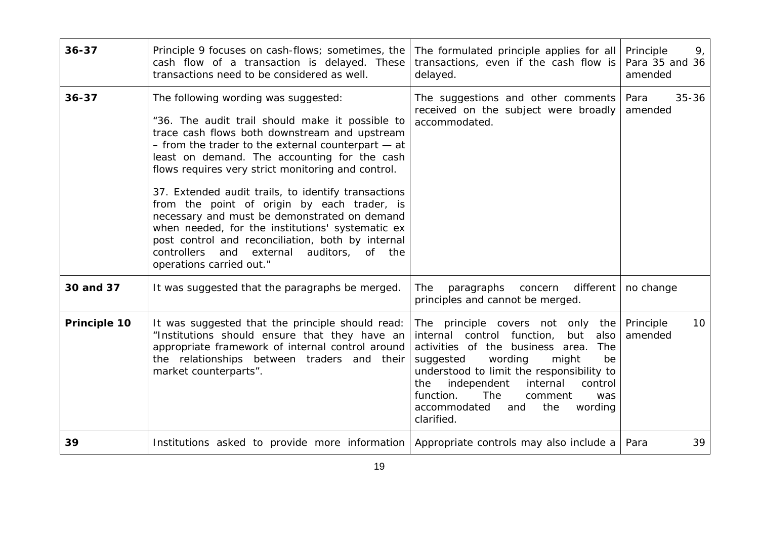| $36 - 37$    | Principle 9 focuses on cash-flows; sometimes, the<br>cash flow of a transaction is delayed. These<br>transactions need to be considered as well.                                                                                                                                                                                                                                                                                                                                                                                                                                                                                                   | The formulated principle applies for all<br>transactions, even if the cash flow is<br>delayed.                                                                                                                                                                                                                                                             | Principle<br>9 <sub>1</sub><br>Para 35 and 36<br>amended |
|--------------|----------------------------------------------------------------------------------------------------------------------------------------------------------------------------------------------------------------------------------------------------------------------------------------------------------------------------------------------------------------------------------------------------------------------------------------------------------------------------------------------------------------------------------------------------------------------------------------------------------------------------------------------------|------------------------------------------------------------------------------------------------------------------------------------------------------------------------------------------------------------------------------------------------------------------------------------------------------------------------------------------------------------|----------------------------------------------------------|
| $36 - 37$    | The following wording was suggested:<br>"36. The audit trail should make it possible to<br>trace cash flows both downstream and upstream<br>- from the trader to the external counterpart - at<br>least on demand. The accounting for the cash<br>flows requires very strict monitoring and control.<br>37. Extended audit trails, to identify transactions<br>from the point of origin by each trader, is<br>necessary and must be demonstrated on demand<br>when needed, for the institutions' systematic ex<br>post control and reconciliation, both by internal<br>controllers<br>and external<br>auditors, of the<br>operations carried out." | The suggestions and other comments<br>received on the subject were broadly<br>accommodated.                                                                                                                                                                                                                                                                | Para<br>$35 - 36$<br>amended                             |
| 30 and 37    | It was suggested that the paragraphs be merged.                                                                                                                                                                                                                                                                                                                                                                                                                                                                                                                                                                                                    | different<br>The<br>paragraphs<br>concern<br>principles and cannot be merged.                                                                                                                                                                                                                                                                              | no change                                                |
| Principle 10 | It was suggested that the principle should read:<br>"Institutions should ensure that they have an<br>appropriate framework of internal control around<br>the relationships between traders and their<br>market counterparts".                                                                                                                                                                                                                                                                                                                                                                                                                      | The principle covers not only<br>the<br>internal control function,<br>but<br>also<br>activities of the business area.<br>The<br>wording<br>suggested<br>might<br>be<br>understood to limit the responsibility to<br>the<br>independent<br>internal<br>control<br>function.<br>The<br>comment<br>was<br>accommodated<br>the<br>wording<br>and<br>clarified. | 10 <sup>°</sup><br>Principle<br>amended                  |
| 39           | Institutions asked to provide more information                                                                                                                                                                                                                                                                                                                                                                                                                                                                                                                                                                                                     | Appropriate controls may also include a                                                                                                                                                                                                                                                                                                                    | 39<br>Para                                               |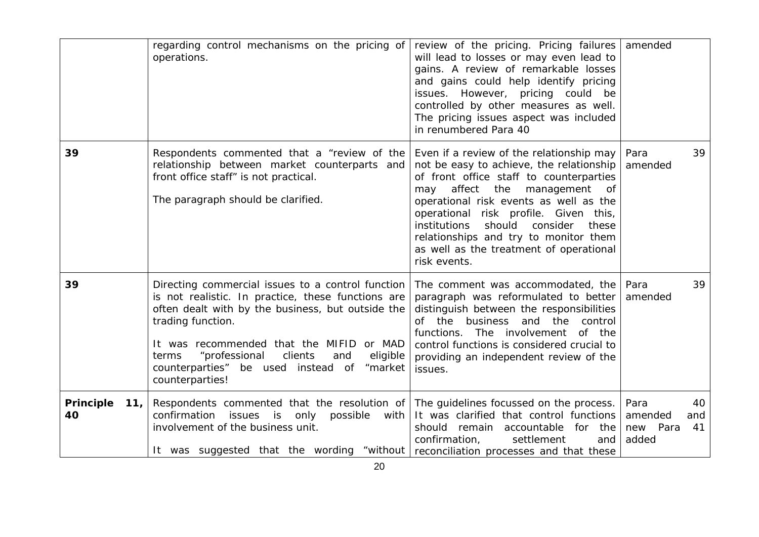|                               | regarding control mechanisms on the pricing of<br>operations.                                                                                                                                                                                                                                                                                             | review of the pricing. Pricing failures<br>will lead to losses or may even lead to<br>gains. A review of remarkable losses<br>and gains could help identify pricing<br>issues. However, pricing could be<br>controlled by other measures as well.<br>The pricing issues aspect was included<br>in renumbered Para 40                                                                                        | amended                                                 |
|-------------------------------|-----------------------------------------------------------------------------------------------------------------------------------------------------------------------------------------------------------------------------------------------------------------------------------------------------------------------------------------------------------|-------------------------------------------------------------------------------------------------------------------------------------------------------------------------------------------------------------------------------------------------------------------------------------------------------------------------------------------------------------------------------------------------------------|---------------------------------------------------------|
| 39                            | Respondents commented that a "review of the<br>relationship between market counterparts and<br>front office staff" is not practical.<br>The paragraph should be clarified.                                                                                                                                                                                | Even if a review of the relationship may<br>not be easy to achieve, the relationship<br>of front office staff to counterparties<br>affect the management<br>may<br>of<br>operational risk events as well as the<br>operational risk profile. Given this,<br>institutions<br>should<br>consider<br>these<br>relationships and try to monitor them<br>as well as the treatment of operational<br>risk events. | Para<br>39<br>amended                                   |
| 39                            | Directing commercial issues to a control function<br>is not realistic. In practice, these functions are<br>often dealt with by the business, but outside the<br>trading function.<br>It was recommended that the MIFID or MAD<br>"professional<br>clients<br>eligible<br>terms<br>and<br>counterparties" be used instead of<br>"market<br>counterparties! | The comment was accommodated, the<br>paragraph was reformulated to better<br>distinguish between the responsibilities<br>of the<br>business<br>and the<br>control<br>functions.<br>The<br>involvement<br>of the<br>control functions is considered crucial to<br>providing an independent review of the<br>issues.                                                                                          | 39<br>Para<br>amended                                   |
| <b>Principle</b><br>11,<br>40 | Respondents commented that the resolution of The guidelines focussed on the process.<br>confirmation issues is only possible<br>with<br>involvement of the business unit.<br>It was suggested that the wording "without                                                                                                                                   | It was clarified that control functions<br>should remain accountable for the<br>confirmation,<br>settlement<br>and<br>reconciliation processes and that these                                                                                                                                                                                                                                               | Para<br>40<br>amended<br>and<br>new Para<br>41<br>added |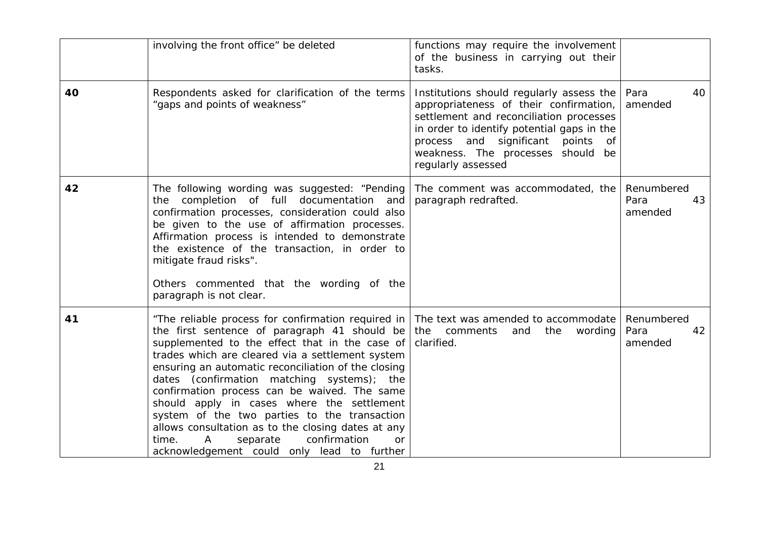|    | involving the front office" be deleted                                                                                                                                                                                                                                                                                                                                                                                                                                                                                                                                                                                 | functions may require the involvement<br>of the business in carrying out their<br>tasks.                                                                                                                                                                                          |                                     |
|----|------------------------------------------------------------------------------------------------------------------------------------------------------------------------------------------------------------------------------------------------------------------------------------------------------------------------------------------------------------------------------------------------------------------------------------------------------------------------------------------------------------------------------------------------------------------------------------------------------------------------|-----------------------------------------------------------------------------------------------------------------------------------------------------------------------------------------------------------------------------------------------------------------------------------|-------------------------------------|
| 40 | Respondents asked for clarification of the terms<br>"gaps and points of weakness"                                                                                                                                                                                                                                                                                                                                                                                                                                                                                                                                      | Institutions should regularly assess the<br>appropriateness of their confirmation,<br>settlement and reconciliation processes<br>in order to identify potential gaps in the<br>process and significant<br>points<br>of<br>weakness. The processes should be<br>regularly assessed | Para<br>40<br>amended               |
| 42 | The following wording was suggested: "Pending<br>the completion of full documentation and<br>confirmation processes, consideration could also<br>be given to the use of affirmation processes.<br>Affirmation process is intended to demonstrate<br>the existence of the transaction, in order to<br>mitigate fraud risks".<br>Others commented that the wording of the<br>paragraph is not clear.                                                                                                                                                                                                                     | The comment was accommodated, the<br>paragraph redrafted.                                                                                                                                                                                                                         | Renumbered<br>Para<br>43<br>amended |
| 41 | "The reliable process for confirmation required in<br>the first sentence of paragraph 41 should be<br>supplemented to the effect that in the case of<br>trades which are cleared via a settlement system<br>ensuring an automatic reconciliation of the closing<br>dates (confirmation matching systems); the<br>confirmation process can be waived. The same<br>should apply in cases where the settlement<br>system of the two parties to the transaction<br>allows consultation as to the closing dates at any<br>confirmation<br>time.<br>Α<br>separate<br><b>or</b><br>acknowledgement could only lead to further | The text was amended to accommodate<br>the<br>comments<br>and<br>the<br>wording<br>clarified.                                                                                                                                                                                     | Renumbered<br>Para<br>42<br>amended |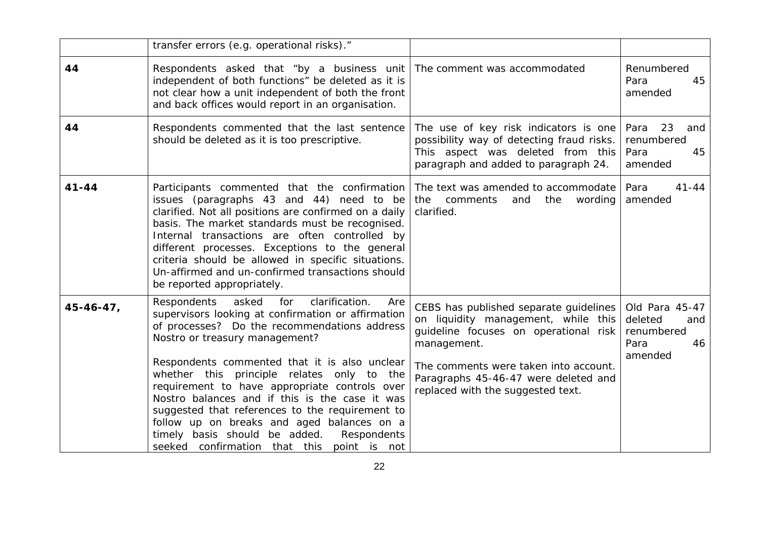|                  | transfer errors (e.g. operational risks)."                                                                                                                                                                                                                                                                                                                                                                                                                                                                                                                                                           |                                                                                                                                                                                                                                                             |                                                                         |
|------------------|------------------------------------------------------------------------------------------------------------------------------------------------------------------------------------------------------------------------------------------------------------------------------------------------------------------------------------------------------------------------------------------------------------------------------------------------------------------------------------------------------------------------------------------------------------------------------------------------------|-------------------------------------------------------------------------------------------------------------------------------------------------------------------------------------------------------------------------------------------------------------|-------------------------------------------------------------------------|
| 44               | Respondents asked that "by a business unit   The comment was accommodated<br>independent of both functions" be deleted as it is<br>not clear how a unit independent of both the front<br>and back offices would report in an organisation.                                                                                                                                                                                                                                                                                                                                                           |                                                                                                                                                                                                                                                             | Renumbered<br>45<br>Para<br>amended                                     |
| 44               | Respondents commented that the last sentence<br>should be deleted as it is too prescriptive.                                                                                                                                                                                                                                                                                                                                                                                                                                                                                                         | The use of key risk indicators is one<br>possibility way of detecting fraud risks.<br>This aspect was deleted from this<br>paragraph and added to paragraph 24.                                                                                             | 23<br>Para<br>and<br>renumbered<br>Para<br>45<br>amended                |
| $41 - 44$        | Participants commented that the confirmation<br>issues (paragraphs 43 and 44) need to be<br>clarified. Not all positions are confirmed on a daily<br>basis. The market standards must be recognised.<br>Internal transactions are often controlled by<br>different processes. Exceptions to the general<br>criteria should be allowed in specific situations.<br>Un-affirmed and un-confirmed transactions should<br>be reported appropriately.                                                                                                                                                      | The text was amended to accommodate<br>the<br>comments<br>and<br>the<br>wording<br>clarified.                                                                                                                                                               | Para<br>$41 - 44$<br>amended                                            |
| $45 - 46 - 47$ , | asked<br>clarification.<br><b>Respondents</b><br>for<br>Are<br>supervisors looking at confirmation or affirmation<br>of processes? Do the recommendations address<br>Nostro or treasury management?<br>Respondents commented that it is also unclear<br>whether this principle relates only to the<br>requirement to have appropriate controls over<br>Nostro balances and if this is the case it was<br>suggested that references to the requirement to<br>follow up on breaks and aged balances on a<br>timely basis should be added.<br>Respondents<br>seeked confirmation that this point is not | CEBS has published separate guidelines<br>on liquidity management, while this<br>guideline focuses on operational risk<br>management.<br>The comments were taken into account.<br>Paragraphs 45-46-47 were deleted and<br>replaced with the suggested text. | Old Para 45-47<br>deleted<br>and<br>renumbered<br>Para<br>46<br>amended |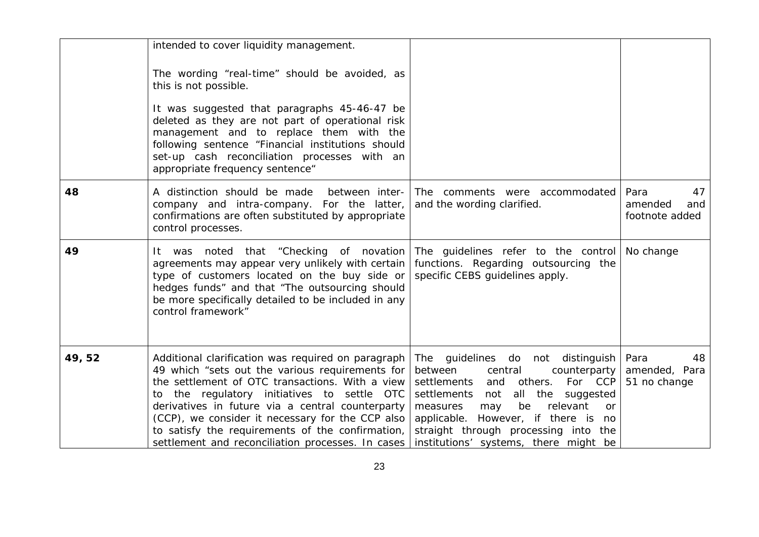|       | intended to cover liquidity management.                                                                                                                                                                                                                                                                                                                                                                                  |                                                                                                                                                                                                                                                                                                                                  |                                                |
|-------|--------------------------------------------------------------------------------------------------------------------------------------------------------------------------------------------------------------------------------------------------------------------------------------------------------------------------------------------------------------------------------------------------------------------------|----------------------------------------------------------------------------------------------------------------------------------------------------------------------------------------------------------------------------------------------------------------------------------------------------------------------------------|------------------------------------------------|
|       | The wording "real-time" should be avoided, as<br>this is not possible.                                                                                                                                                                                                                                                                                                                                                   |                                                                                                                                                                                                                                                                                                                                  |                                                |
|       | It was suggested that paragraphs 45-46-47 be<br>deleted as they are not part of operational risk<br>management and to replace them with the<br>following sentence "Financial institutions should<br>set-up cash reconciliation processes with an<br>appropriate frequency sentence"                                                                                                                                      |                                                                                                                                                                                                                                                                                                                                  |                                                |
| 48    | A distinction should be made<br>between inter-<br>company and intra-company. For the latter,<br>confirmations are often substituted by appropriate<br>control processes.                                                                                                                                                                                                                                                 | The comments were accommodated<br>and the wording clarified.                                                                                                                                                                                                                                                                     | Para<br>47<br>amended<br>and<br>footnote added |
| 49    | It was noted that "Checking of novation<br>agreements may appear very unlikely with certain<br>type of customers located on the buy side or<br>hedges funds" and that "The outsourcing should<br>be more specifically detailed to be included in any<br>control framework"                                                                                                                                               | The guidelines refer to the control<br>functions. Regarding outsourcing the<br>specific CEBS guidelines apply.                                                                                                                                                                                                                   | No change                                      |
| 49,52 | Additional clarification was required on paragraph<br>49 which "sets out the various requirements for<br>the settlement of OTC transactions. With a view<br>to the regulatory initiatives to settle OTC<br>derivatives in future via a central counterparty<br>(CCP), we consider it necessary for the CCP also<br>to satisfy the requirements of the confirmation,<br>settlement and reconciliation processes. In cases | The guidelines do not distinguish<br>between<br>counterparty<br>central<br>settlements and others.<br>For CCP<br>settlements not all the suggested<br>relevant<br>measures<br>be<br>may<br><sub>or</sub><br>applicable. However, if there is no<br>straight through processing into the<br>institutions' systems, there might be | Para<br>48<br>amended, Para<br>51 no change    |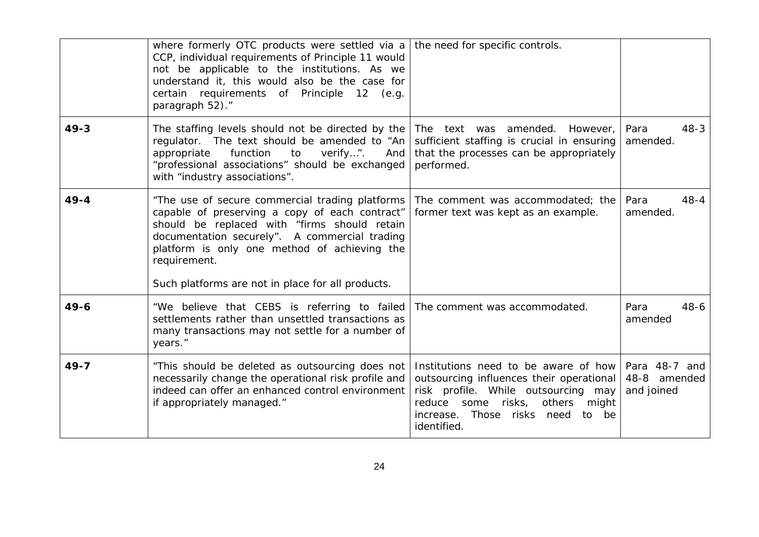|          | where formerly OTC products were settled via a<br>CCP, individual requirements of Principle 11 would<br>not be applicable to the institutions. As we<br>understand it, this would also be the case for<br>certain requirements of Principle 12 (e.g.<br>paragraph 52)."                                                 | the need for specific controls.                                                                                                                                                                                           |                                             |
|----------|-------------------------------------------------------------------------------------------------------------------------------------------------------------------------------------------------------------------------------------------------------------------------------------------------------------------------|---------------------------------------------------------------------------------------------------------------------------------------------------------------------------------------------------------------------------|---------------------------------------------|
| $49 - 3$ | The staffing levels should not be directed by the<br>regulator. The text should be amended to "An<br>function<br>verify".<br>appropriate<br>to<br>And<br>"professional associations" should be exchanged<br>with "industry associations".                                                                               | The<br>text was<br>amended.<br>However,<br>sufficient staffing is crucial in ensuring<br>that the processes can be appropriately<br>performed.                                                                            | Para<br>$48 - 3$<br>amended.                |
| $49 - 4$ | "The use of secure commercial trading platforms<br>capable of preserving a copy of each contract"<br>should be replaced with "firms should retain<br>documentation securely". A commercial trading<br>platform is only one method of achieving the<br>requirement.<br>Such platforms are not in place for all products. | The comment was accommodated; the<br>former text was kept as an example.                                                                                                                                                  | Para<br>$48 - 4$<br>amended.                |
| $49 - 6$ | "We believe that CEBS is referring to failed<br>settlements rather than unsettled transactions as<br>many transactions may not settle for a number of<br>years."                                                                                                                                                        | The comment was accommodated.                                                                                                                                                                                             | Para<br>$48 - 6$<br>amended                 |
| $49 - 7$ | "This should be deleted as outsourcing does not<br>necessarily change the operational risk profile and<br>indeed can offer an enhanced control environment<br>if appropriately managed."                                                                                                                                | Institutions need to be aware of how<br>outsourcing influences their operational<br>risk profile. While outsourcing may<br>some risks,<br>others<br>reduce<br>might<br>increase. Those risks need<br>to be<br>identified. | Para 48-7 and<br>48-8 amended<br>and joined |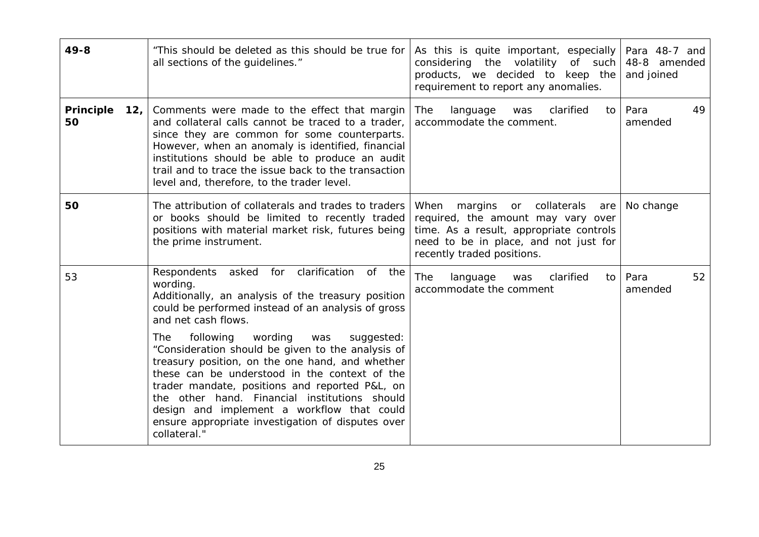| $49 - 8$                      | "This should be deleted as this should be true for<br>all sections of the guidelines."                                                                                                                                                                                                                                                                                                                                                                                                                                                                                                                                                   | As this is quite important, especially<br>considering the volatility of such<br>products, we decided to keep the<br>requirement to report any anomalies.                                         | Para 48-7 and<br>48-8 amended<br>and joined |
|-------------------------------|------------------------------------------------------------------------------------------------------------------------------------------------------------------------------------------------------------------------------------------------------------------------------------------------------------------------------------------------------------------------------------------------------------------------------------------------------------------------------------------------------------------------------------------------------------------------------------------------------------------------------------------|--------------------------------------------------------------------------------------------------------------------------------------------------------------------------------------------------|---------------------------------------------|
| <b>Principle</b><br>12,<br>50 | Comments were made to the effect that margin<br>and collateral calls cannot be traced to a trader,<br>since they are common for some counterparts.<br>However, when an anomaly is identified, financial<br>institutions should be able to produce an audit<br>trail and to trace the issue back to the transaction<br>level and, therefore, to the trader level.                                                                                                                                                                                                                                                                         | clarified<br>The<br>language<br>to<br>was<br>accommodate the comment.                                                                                                                            | Para<br>49<br>amended                       |
| 50                            | The attribution of collaterals and trades to traders<br>or books should be limited to recently traded<br>positions with material market risk, futures being<br>the prime instrument.                                                                                                                                                                                                                                                                                                                                                                                                                                                     | When<br>margins<br>or collaterals<br>are<br>required, the amount may vary over<br>time. As a result, appropriate controls<br>need to be in place, and not just for<br>recently traded positions. | No change                                   |
| 53                            | clarification<br>for<br>Respondents<br>asked<br>of the<br>wording.<br>Additionally, an analysis of the treasury position<br>could be performed instead of an analysis of gross<br>and net cash flows.<br>wording<br>following<br>suggested:<br>The<br>was<br>"Consideration should be given to the analysis of<br>treasury position, on the one hand, and whether<br>these can be understood in the context of the<br>trader mandate, positions and reported P&L, on<br>the other hand. Financial institutions should<br>design and implement a workflow that could<br>ensure appropriate investigation of disputes over<br>collateral." | clarified<br><b>The</b><br>language<br>was<br>to<br>accommodate the comment                                                                                                                      | Para<br>52<br>amended                       |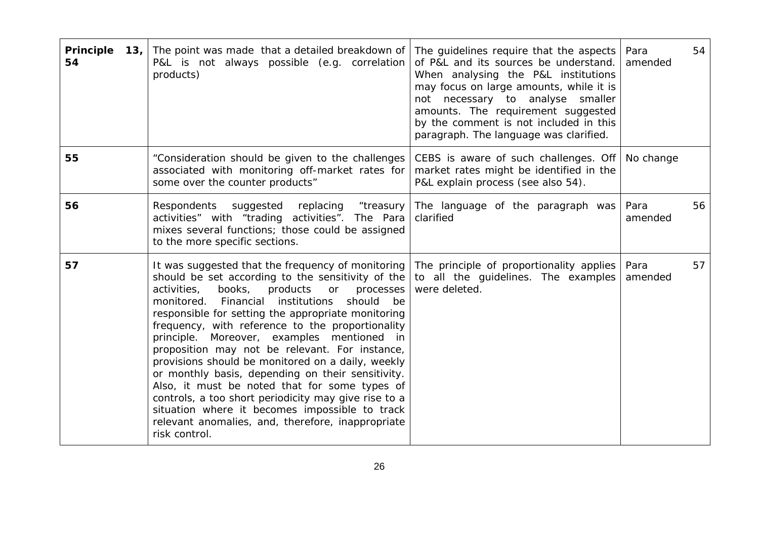| Principle<br>13,<br>54 | The point was made that a detailed breakdown of<br>P&L is not always possible (e.g. correlation<br>products)                                                                                                                                                                                                                                                                                                                                                                                                                                                                                                                                                                                                                                                             | The guidelines require that the aspects  <br>of P&L and its sources be understand.<br>When analysing the P&L institutions<br>may focus on large amounts, while it is<br>not necessary to analyse smaller<br>amounts. The requirement suggested<br>by the comment is not included in this<br>paragraph. The language was clarified. | 54<br>Para<br>amended |
|------------------------|--------------------------------------------------------------------------------------------------------------------------------------------------------------------------------------------------------------------------------------------------------------------------------------------------------------------------------------------------------------------------------------------------------------------------------------------------------------------------------------------------------------------------------------------------------------------------------------------------------------------------------------------------------------------------------------------------------------------------------------------------------------------------|------------------------------------------------------------------------------------------------------------------------------------------------------------------------------------------------------------------------------------------------------------------------------------------------------------------------------------|-----------------------|
| 55                     | "Consideration should be given to the challenges<br>associated with monitoring off-market rates for<br>some over the counter products"                                                                                                                                                                                                                                                                                                                                                                                                                                                                                                                                                                                                                                   | CEBS is aware of such challenges. Off<br>market rates might be identified in the<br>P&L explain process (see also 54).                                                                                                                                                                                                             | No change             |
| 56                     | Respondents suggested replacing<br>"treasury<br>activities" with "trading activities". The Para<br>mixes several functions; those could be assigned<br>to the more specific sections.                                                                                                                                                                                                                                                                                                                                                                                                                                                                                                                                                                                    | The language of the paragraph was<br>clarified                                                                                                                                                                                                                                                                                     | Para<br>56<br>amended |
| 57                     | It was suggested that the frequency of monitoring<br>should be set according to the sensitivity of the<br>books,<br>activities,<br>products or processes<br>institutions<br>should<br>monitored.<br>Financial<br>be<br>responsible for setting the appropriate monitoring<br>frequency, with reference to the proportionality<br>principle. Moreover, examples mentioned in<br>proposition may not be relevant. For instance,<br>provisions should be monitored on a daily, weekly<br>or monthly basis, depending on their sensitivity.<br>Also, it must be noted that for some types of<br>controls, a too short periodicity may give rise to a<br>situation where it becomes impossible to track<br>relevant anomalies, and, therefore, inappropriate<br>risk control. | The principle of proportionality applies<br>to all the guidelines. The examples<br>were deleted.                                                                                                                                                                                                                                   | 57<br>Para<br>amended |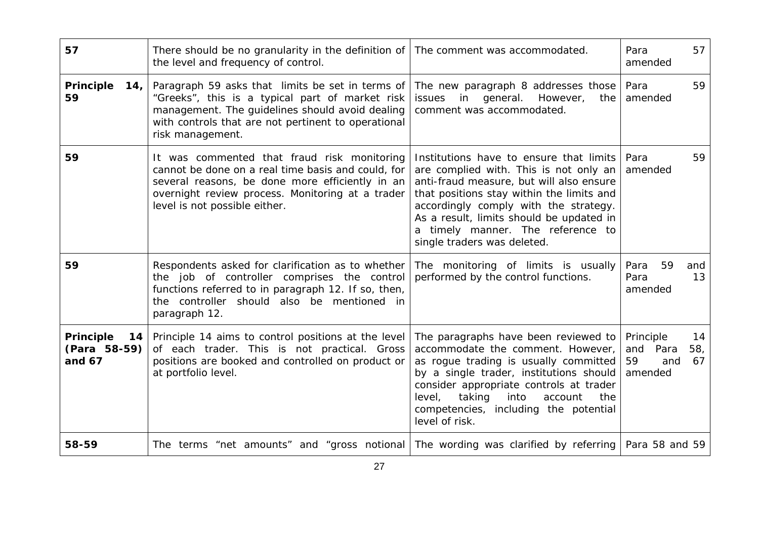| 57                                                 | There should be no granularity in the definition of<br>the level and frequency of control.                                                                                                                                                | The comment was accommodated.                                                                                                                                                                                                                                                                                                       | 57<br>Para<br>amended                                               |
|----------------------------------------------------|-------------------------------------------------------------------------------------------------------------------------------------------------------------------------------------------------------------------------------------------|-------------------------------------------------------------------------------------------------------------------------------------------------------------------------------------------------------------------------------------------------------------------------------------------------------------------------------------|---------------------------------------------------------------------|
| Principle<br>14,<br>59                             | Paragraph 59 asks that limits be set in terms of<br>"Greeks", this is a typical part of market risk<br>management. The guidelines should avoid dealing<br>with controls that are not pertinent to operational<br>risk management.         | The new paragraph 8 addresses those<br>in general. However,<br>issues<br>the<br>comment was accommodated.                                                                                                                                                                                                                           | 59<br>Para<br>amended                                               |
| 59                                                 | It was commented that fraud risk monitoring<br>cannot be done on a real time basis and could, for<br>several reasons, be done more efficiently in an<br>overnight review process. Monitoring at a trader<br>level is not possible either. | Institutions have to ensure that limits<br>are complied with. This is not only an<br>anti-fraud measure, but will also ensure<br>that positions stay within the limits and<br>accordingly comply with the strategy.<br>As a result, limits should be updated in<br>a timely manner. The reference to<br>single traders was deleted. | Para<br>59<br>amended                                               |
| 59                                                 | Respondents asked for clarification as to whether<br>the job of controller comprises the control<br>functions referred to in paragraph 12. If so, then,<br>the controller should also be mentioned in<br>paragraph 12.                    | The monitoring of limits is usually<br>performed by the control functions.                                                                                                                                                                                                                                                          | 59<br>Para<br>and<br>Para<br>13<br>amended                          |
| <b>Principle</b><br>14<br>(Para 58-59)<br>and $67$ | Principle 14 aims to control positions at the level<br>of each trader. This is not practical. Gross<br>positions are booked and controlled on product or<br>at portfolio level.                                                           | The paragraphs have been reviewed to<br>accommodate the comment. However,<br>as rogue trading is usually committed<br>by a single trader, institutions should<br>consider appropriate controls at trader<br>level,<br>taking<br>into<br>account<br>the<br>competencies, including the potential<br>level of risk.                   | Principle<br>14<br>58,<br>and<br>Para<br>59<br>and<br>67<br>amended |
| 58-59                                              | The terms "net amounts" and "gross notional                                                                                                                                                                                               | The wording was clarified by referring   Para 58 and 59                                                                                                                                                                                                                                                                             |                                                                     |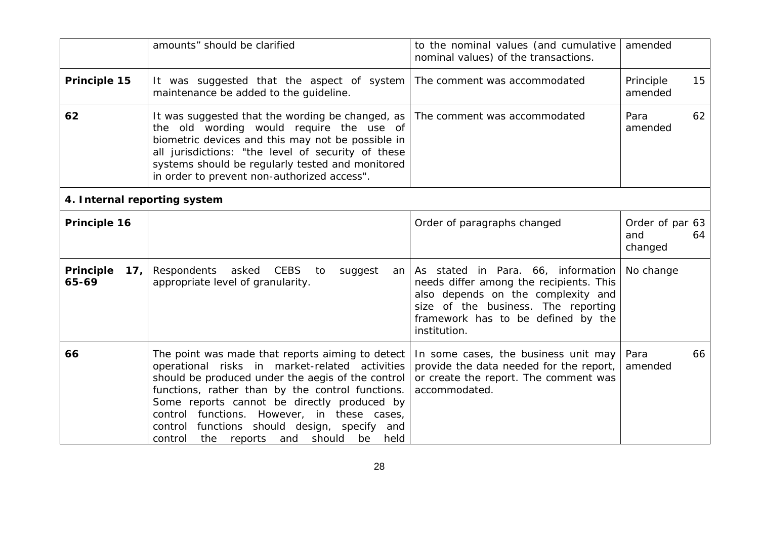|                                       | amounts" should be clarified                                                                                                                                                                                                                                                                                                                                                                                                | to the nominal values (and cumulative<br>nominal values) of the transactions.                                                                                                                                    | amended                           |    |
|---------------------------------------|-----------------------------------------------------------------------------------------------------------------------------------------------------------------------------------------------------------------------------------------------------------------------------------------------------------------------------------------------------------------------------------------------------------------------------|------------------------------------------------------------------------------------------------------------------------------------------------------------------------------------------------------------------|-----------------------------------|----|
| Principle 15                          | It was suggested that the aspect of system<br>maintenance be added to the guideline.                                                                                                                                                                                                                                                                                                                                        | The comment was accommodated                                                                                                                                                                                     | Principle<br>amended              | 15 |
| 62                                    | It was suggested that the wording be changed, as<br>the old wording would require the use of<br>biometric devices and this may not be possible in<br>all jurisdictions: "the level of security of these<br>systems should be regularly tested and monitored<br>in order to prevent non-authorized access".                                                                                                                  | The comment was accommodated                                                                                                                                                                                     | Para<br>amended                   | 62 |
| 4. Internal reporting system          |                                                                                                                                                                                                                                                                                                                                                                                                                             |                                                                                                                                                                                                                  |                                   |    |
| Principle 16                          |                                                                                                                                                                                                                                                                                                                                                                                                                             | Order of paragraphs changed                                                                                                                                                                                      | Order of par 63<br>and<br>changed | 64 |
| Principle<br>17 <sub>1</sub><br>65-69 | Respondents asked<br><b>CEBS</b><br>suggest<br>to<br>an<br>appropriate level of granularity.                                                                                                                                                                                                                                                                                                                                | As stated in Para. 66, information<br>needs differ among the recipients. This<br>also depends on the complexity and<br>size of the business. The reporting<br>framework has to be defined by the<br>institution. | No change                         |    |
| 66                                    | The point was made that reports aiming to detect<br>operational risks in market-related activities<br>should be produced under the aegis of the control<br>functions, rather than by the control functions.<br>Some reports cannot be directly produced by<br>control functions. However, in these cases,<br>functions should design, specify<br>control<br>and<br>and<br>should<br>control<br>the<br>reports<br>be<br>held | In some cases, the business unit may<br>provide the data needed for the report,<br>or create the report. The comment was<br>accommodated.                                                                        | Para<br>amended                   | 66 |